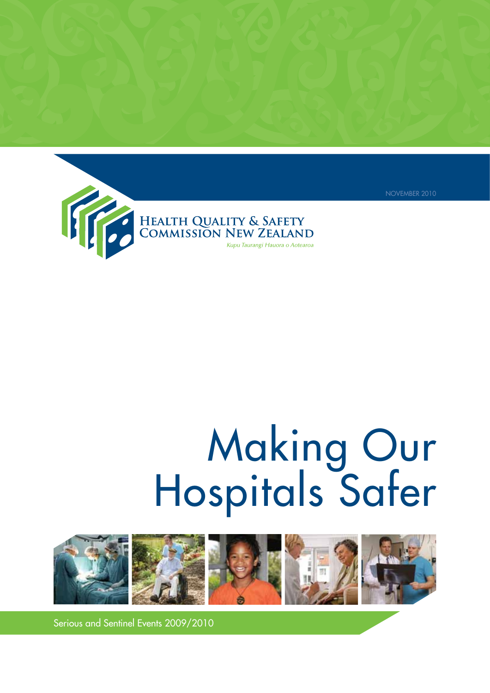

# Making Our Hospitals Safer

NOVEMBER 2010



Serious and Sentinel Events 2009/2010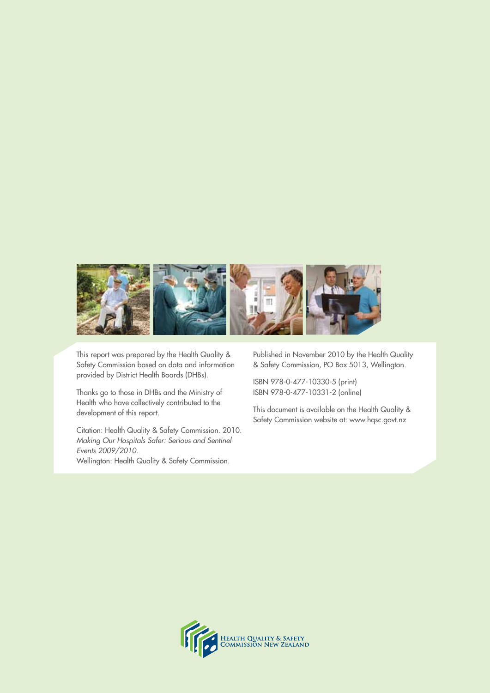

This report was prepared by the Health Quality & Safety Commission based on data and information provided by District Health Boards (DHBs).

Thanks go to those in DHBs and the Ministry of Health who have collectively contributed to the development of this report.

Citation: Health Quality & Safety Commission. 2010. *Making Our Hospitals Safer: Serious and Sentinel Events 2009/2010.* Wellington: Health Quality & Safety Commission.

Published in November 2010 by the Health Quality & Safety Commission, PO Box 5013, Wellington.

ISBN 978-0-477-10330-5 (print) ISBN 978-0-477-10331-2 (online)

This document is available on the Health Quality & Safety Commission website at: www.hqsc.govt.nz

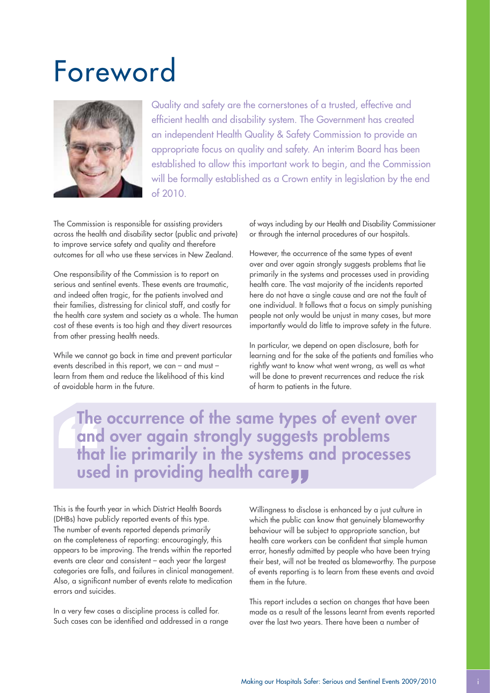## Foreword



Quality and safety are the cornerstones of a trusted, effective and efficient health and disability system. The Government has created an independent Health Quality & Safety Commission to provide an appropriate focus on quality and safety. An interim Board has been established to allow this important work to begin, and the Commission will be formally established as a Crown entity in leaislation by the end of 2010.

The Commission is responsible for assisting providers across the health and disability sector (public and private) to improve service safety and quality and therefore outcomes for all who use these services in New Zealand.

One responsibility of the Commission is to report on serious and sentinel events. These events are traumatic, and indeed often tragic, for the patients involved and their families, distressing for clinical staff, and costly for the health care system and society as a whole. The human cost of these events is too high and they divert resources from other pressing health needs.

While we cannot go back in time and prevent particular events described in this report, we can – and must – learn from them and reduce the likelihood of this kind of avoidable harm in the future.

of ways including by our Health and Disability Commissioner or through the internal procedures of our hospitals.

However, the occurrence of the same types of event over and over again strongly suggests problems that lie primarily in the systems and processes used in providing health care. The vast majority of the incidents reported here do not have a single cause and are not the fault of one individual. It follows that a focus on simply punishing people not only would be unjust in many cases, but more importantly would do little to improve safety in the future.

In particular, we depend on open disclosure, both for learning and for the sake of the patients and families who rightly want to know what went wrong, as well as what will be done to prevent recurrences and reduce the risk of harm to patients in the future.

The occurrence of the same types of event over and over again strongly suggests problems that lie primarily in the systems and processes used in providing health care

This is the fourth year in which District Health Boards (DHBs) have publicly reported events of this type. The number of events reported depends primarily on the completeness of reporting: encouragingly, this appears to be improving. The trends within the reported events are clear and consistent – each year the largest categories are falls, and failures in clinical management. Also, a significant number of events relate to medication errors and suicides.

In a very few cases a discipline process is called for. Such cases can be identified and addressed in a range Willingness to disclose is enhanced by a just culture in which the public can know that genuinely blameworthy behaviour will be subject to appropriate sanction, but health care workers can be confident that simple human error, honestly admitted by people who have been trying their best, will not be treated as blameworthy. The purpose of events reporting is to learn from these events and avoid them in the future.

This report includes a section on changes that have been made as a result of the lessons learnt from events reported over the last two years. There have been a number of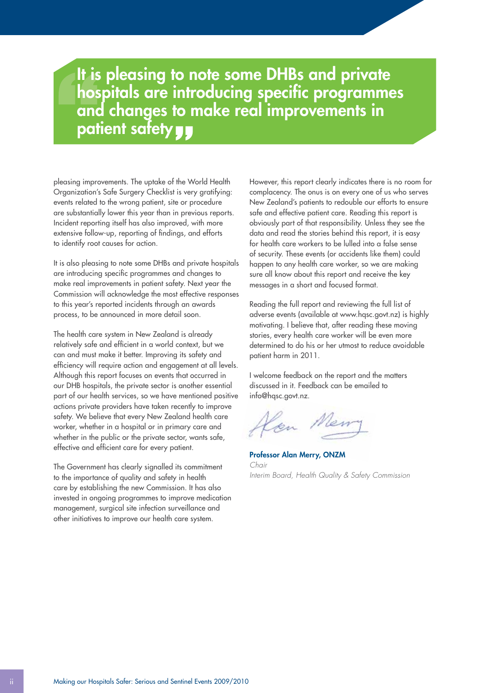## It is pleasing to note some DHBs and private hospitals are introducing specific programmes and changes to make real improvements in patient safety **y**

pleasing improvements. The uptake of the World Health Organization's Safe Surgery Checklist is very gratifying: events related to the wrong patient, site or procedure are substantially lower this year than in previous reports. Incident reporting itself has also improved, with more extensive follow-up, reporting of findings, and efforts to identify root causes for action.

It is also pleasing to note some DHBs and private hospitals are introducing specific programmes and changes to make real improvements in patient safety. Next year the Commission will acknowledge the most effective responses to this year's reported incidents through an awards process, to be announced in more detail soon.

The health care system in New Zealand is already relatively safe and efficient in a world context, but we can and must make it better. Improving its safety and efficiency will require action and engagement at all levels. Although this report focuses on events that occurred in our DHB hospitals, the private sector is another essential part of our health services, so we have mentioned positive actions private providers have taken recently to improve safety. We believe that every New Zealand health care worker, whether in a hospital or in primary care and whether in the public or the private sector, wants safe, effective and efficient care for every patient.

The Government has clearly signalled its commitment to the importance of quality and safety in health care by establishing the new Commission. It has also invested in ongoing programmes to improve medication management, surgical site infection surveillance and other initiatives to improve our health care system.

However, this report clearly indicates there is no room for complacency. The onus is on every one of us who serves New Zealand's patients to redouble our efforts to ensure safe and effective patient care. Reading this report is obviously part of that responsibility. Unless they see the data and read the stories behind this report, it is easy for health care workers to be lulled into a false sense of security. These events (or accidents like them) could happen to any health care worker, so we are making sure all know about this report and receive the key messages in a short and focused format.

Reading the full report and reviewing the full list of adverse events (available at www.hqsc.govt.nz) is highly motivating. I believe that, after reading these moving stories, every health care worker will be even more determined to do his or her utmost to reduce avoidable patient harm in 2011.

I welcome feedback on the report and the matters discussed in it. Feedback can be emailed to info@hqsc.govt.nz.

Professor Alan Merry, ONZM *Chair Interim Board, Health Quality & Safety Commission*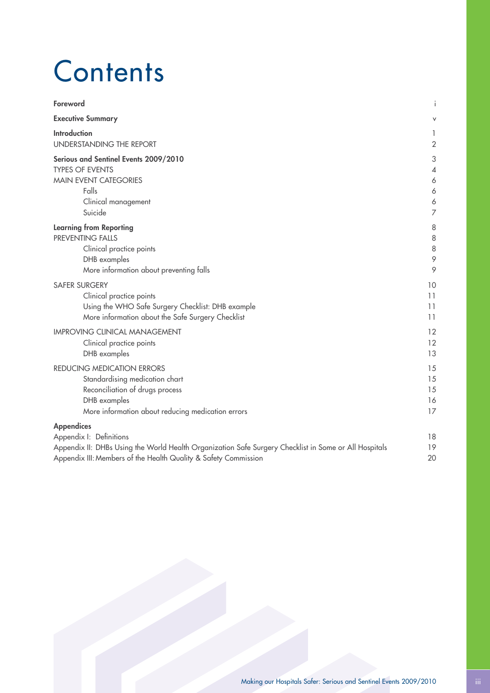## **Contents**

| Foreword                                                                                                                                                                                                                 | Ť              |
|--------------------------------------------------------------------------------------------------------------------------------------------------------------------------------------------------------------------------|----------------|
| <b>Executive Summary</b>                                                                                                                                                                                                 | V              |
| <b>Introduction</b>                                                                                                                                                                                                      | 1              |
| UNDERSTANDING THE REPORT                                                                                                                                                                                                 | $\sqrt{2}$     |
| Serious and Sentinel Events 2009/2010                                                                                                                                                                                    | 3              |
| <b>TYPES OF EVENTS</b>                                                                                                                                                                                                   | 4              |
| <b>MAIN EVENT CATEGORIES</b>                                                                                                                                                                                             | 6              |
| Falls                                                                                                                                                                                                                    | 6              |
| Clinical management                                                                                                                                                                                                      | 6              |
| Suicide                                                                                                                                                                                                                  | $\overline{7}$ |
| <b>Learning from Reporting</b>                                                                                                                                                                                           | 8              |
| PREVENTING FALLS                                                                                                                                                                                                         | 8              |
| Clinical practice points                                                                                                                                                                                                 | 8              |
| DHB examples                                                                                                                                                                                                             | 9              |
| More information about preventing falls                                                                                                                                                                                  | 9              |
| <b>SAFER SURGERY</b>                                                                                                                                                                                                     | 10             |
| Clinical practice points                                                                                                                                                                                                 | 11             |
| Using the WHO Safe Surgery Checklist: DHB example                                                                                                                                                                        | 11             |
| More information about the Safe Surgery Checklist                                                                                                                                                                        | 11             |
| <b>IMPROVING CLINICAL MANAGEMENT</b>                                                                                                                                                                                     | 12             |
| Clinical practice points                                                                                                                                                                                                 | 12             |
| DHB examples                                                                                                                                                                                                             | 13             |
| REDUCING MEDICATION ERRORS                                                                                                                                                                                               | 15             |
| Standardising medication chart                                                                                                                                                                                           | 15             |
| Reconciliation of drugs process                                                                                                                                                                                          | 15             |
| DHB examples                                                                                                                                                                                                             | 16             |
| More information about reducing medication errors                                                                                                                                                                        | 17             |
| <b>Appendices</b><br>Appendix I: Definitions<br>Appendix II: DHBs Using the World Health Organization Safe Surgery Checklist in Some or All Hospitals<br>Appendix III: Members of the Health Quality & Safety Commission | 18<br>19<br>20 |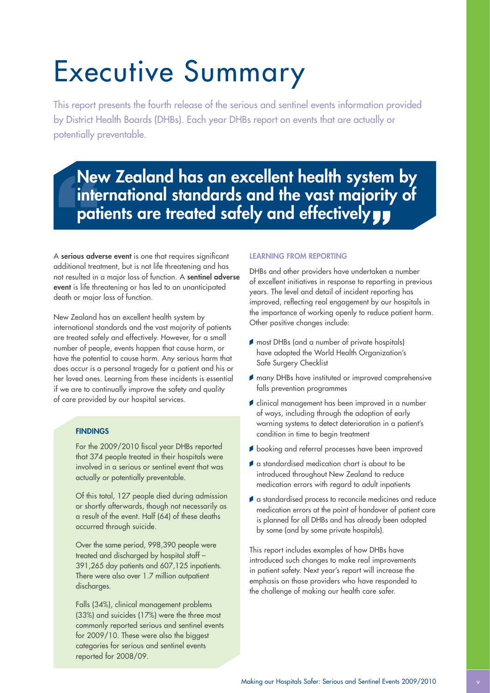# Executive Summary

This report presents the fourth release of the serious and sentinel events information provided by District Health Boards (DHBs). Each year DHBs report on events that are actually or potentially preventable.

## New Zealand has an excellent health system by international standards and the vast majority of patients are treated safely and effectively y

A serious adverse event is one that requires significant additional treatment, but is not life threatening and has not resulted in a major loss of function. A sentinel adverse event is life threatening or has led to an unanticipated death or major loss of function.

New Zealand has an excellent health system by international standards and the vast majority of patients are treated safely and effectively. However, for a small number of people, events happen that cause harm, or have the potential to cause harm. Any serious harm that does occur is a personal tragedy for a patient and his or her loved ones. Learning from these incidents is essential if we are to continually improve the safety and quality of care provided by our hospital services.

#### **FINDINGS**

For the 2009/2010 fiscal year DHBs reported that 374 people treated in their hospitals were involved in a serious or sentinel event that was actually or potentially preventable.

Of this total, 127 people died during admission or shortly afterwards, though not necessarily as a result of the event. Half (64) of these deaths occurred through suicide.

Over the same period, 998,390 people were treated and discharged by hospital staff – 391,265 day patients and 607,125 inpatients. There were also over 1.7 million outpatient discharges.

Falls (34%), clinical management problems (33%) and suicides (17%) were the three most commonly reported serious and sentinel events for 2009/10. These were also the biggest categories for serious and sentinel events reported for 2008/09.

#### Learning from reporting

DHBs and other providers have undertaken a number of excellent initiatives in response to reporting in previous years. The level and detail of incident reporting has improved, reflecting real engagement by our hospitals in the importance of working openly to reduce patient harm. Other positive changes include:

- most DHBs (and a number of private hospitals) have adopted the World Health Organization's Safe Surgery Checklist
- many DHBs have instituted or improved comprehensive falls prevention programmes
- **f** clinical management has been improved in a number of ways, including through the adoption of early warning systems to detect deterioration in a patient's condition in time to begin treatment
- booking and referral processes have been improved
- a standardised medication chart is about to be introduced throughout New Zealand to reduce medication errors with regard to adult inpatients
- a standardised process to reconcile medicines and reduce medication errors at the point of handover of patient care is planned for all DHBs and has already been adopted by some (and by some private hospitals).

This report includes examples of how DHBs have introduced such changes to make real improvements in patient safety. Next year's report will increase the emphasis on those providers who have responded to the challenge of making our health care safer.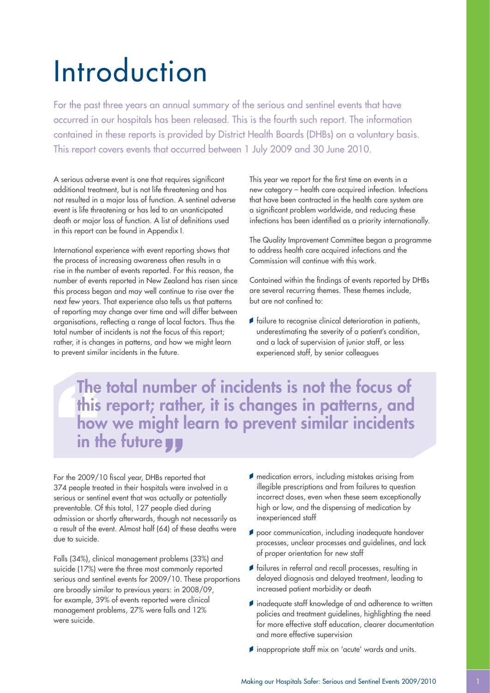# Introduction

For the past three years an annual summary of the serious and sentinel events that have occurred in our hospitals has been released. This is the fourth such report. The information contained in these reports is provided by District Health Boards (DHBs) on a voluntary basis. This report covers events that occurred between 1 July 2009 and 30 June 2010.

A serious adverse event is one that requires significant additional treatment, but is not life threatening and has not resulted in a major loss of function. A sentinel adverse event is life threatening or has led to an unanticipated death or major loss of function. A list of definitions used in this report can be found in Appendix I.

International experience with event reporting shows that the process of increasing awareness often results in a rise in the number of events reported. For this reason, the number of events reported in New Zealand has risen since this process began and may well continue to rise over the next few years. That experience also tells us that patterns of reporting may change over time and will differ between organisations, reflecting a range of local factors. Thus the total number of incidents is not the focus of this report; rather, it is changes in patterns, and how we might learn to prevent similar incidents in the future.

This year we report for the first time on events in a new category – health care acquired infection. Infections that have been contracted in the health care system are a significant problem worldwide, and reducing these infections has been identified as a priority internationally.

The Quality Improvement Committee began a programme to address health care acquired infections and the Commission will continue with this work.

Contained within the findings of events reported by DHBs are several recurring themes. These themes include, but are not confined to:

 $\blacktriangleright$  failure to recognise clinical deterioration in patients, underestimating the severity of a patient's condition, and a lack of supervision of junior staff, or less experienced staff, by senior colleagues

The total number of incidents is not the focus of this report; rather, it is changes in patterns, and how we might learn to prevent similar incidents in the future yy

For the 2009/10 fiscal year, DHBs reported that 374 people treated in their hospitals were involved in a serious or sentinel event that was actually or potentially preventable. Of this total, 127 people died during admission or shortly afterwards, though not necessarily as a result of the event. Almost half (64) of these deaths were due to suicide.

Falls (34%), clinical management problems (33%) and suicide (17%) were the three most commonly reported serious and sentinel events for 2009/10. These proportions are broadly similar to previous years: in 2008/09, for example, 39% of events reported were clinical management problems, 27% were falls and 12% were suicide.

- medication errors, including mistakes arising from illegible prescriptions and from failures to question incorrect doses, even when these seem exceptionally high or low, and the dispensing of medication by inexperienced staff
- poor communication, including inadequate handover processes, unclear processes and guidelines, and lack of proper orientation for new staff
- $\blacktriangleright$  failures in referral and recall processes, resulting in delayed diagnosis and delayed treatment, leading to increased patient morbidity or death
- inadequate staff knowledge of and adherence to written policies and treatment guidelines, highlighting the need for more effective staff education, clearer documentation and more effective supervision
- inappropriate staff mix on 'acute' wards and units.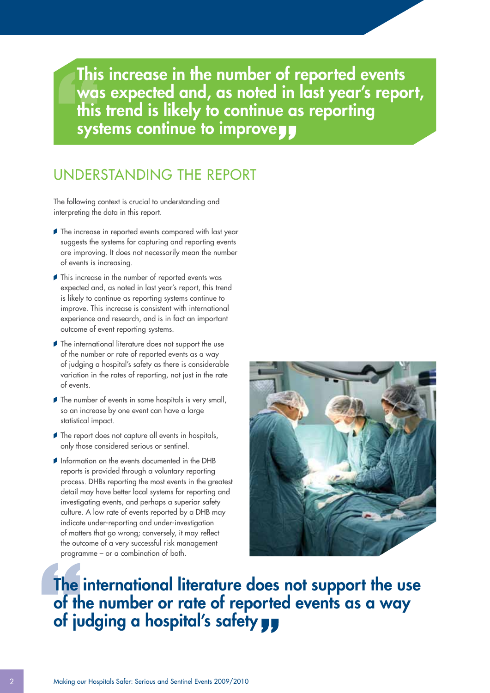This increase in the number of reported events was expected and, as noted in last year's report, this trend is likely to continue as reporting systems continue to improveyy

### UNDERSTANDING THE REPORT

The following context is crucial to understanding and interpreting the data in this report.

- The increase in reported events compared with last year suggests the systems for capturing and reporting events are improving. It does not necessarily mean the number of events is increasing.
- **This increase in the number of reported events was** expected and, as noted in last year's report, this trend is likely to continue as reporting systems continue to improve. This increase is consistent with international experience and research, and is in fact an important outcome of event reporting systems.
- **The international literature does not support the use** of the number or rate of reported events as a way of judging a hospital's safety as there is considerable variation in the rates of reporting, not just in the rate of events.
- The number of events in some hospitals is very small, so an increase by one event can have a large statistical impact.
- The report does not capture all events in hospitals, only those considered serious or sentinel.
- Information on the events documented in the DHB reports is provided through a voluntary reporting process. DHBs reporting the most events in the greatest detail may have better local systems for reporting and investigating events, and perhaps a superior safety culture. A low rate of events reported by a DHB may indicate under-reporting and under-investigation of matters that go wrong; conversely, it may reflect the outcome of a very successful risk management programme – or a combination of both.



## The international literature does not support the use of the number or rate of reported events as a way of judging a hospital's safety yy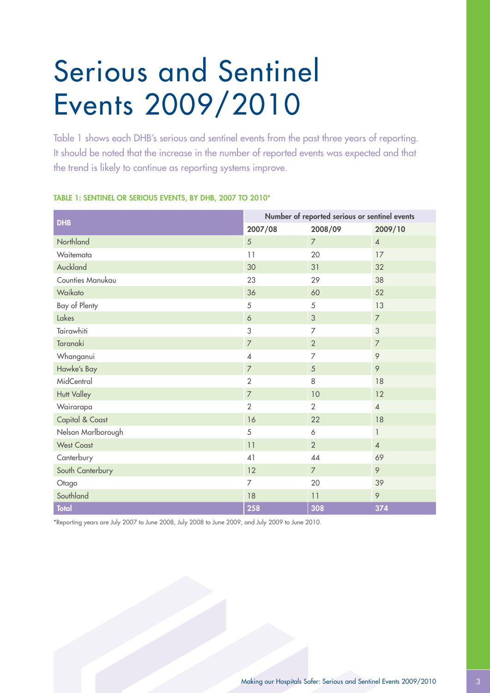# Serious and Sentinel Events 2009/2010

Table 1 shows each DHB's serious and sentinel events from the past three years of reporting. It should be noted that the increase in the number of reported events was expected and that the trend is likely to continue as reporting systems improve.

| <b>DHB</b>         | Number of reported serious or sentinel events |                |                |
|--------------------|-----------------------------------------------|----------------|----------------|
|                    | 2007/08                                       | 2008/09        | 2009/10        |
| Northland          | 5                                             | $\overline{7}$ | $\overline{4}$ |
| Waitemata          | 11                                            | 20             | 17             |
| Auckland           | 30                                            | 31             | 32             |
| Counties Manukau   | 23                                            | 29             | 38             |
| Waikato            | 36                                            | 60             | 52             |
| Bay of Plenty      | 5                                             | 5              | 13             |
| Lakes              | $\acute{\rm{o}}$                              | $\mathfrak{Z}$ | $\overline{7}$ |
| Tairawhiti         | 3                                             | $\overline{7}$ | 3              |
| Taranaki           | $\overline{\phantom{a}}$                      | $\overline{2}$ | $\overline{7}$ |
| Whanganui          | $\overline{\mathcal{A}}$                      | $\overline{7}$ | 9              |
| Hawke's Bay        | $\overline{7}$                                | 5              | 9              |
| MidCentral         | $\overline{2}$                                | 8              | 18             |
| <b>Hutt Valley</b> | $\overline{\phantom{a}}$                      | 10             | 12             |
| Wairarapa          | $\overline{2}$                                | 2              | $\overline{4}$ |
| Capital & Coast    | 16                                            | 22             | 18             |
| Nelson Marlborough | 5                                             | 6              | 1              |
| <b>West Coast</b>  | 11                                            | $\overline{2}$ | $\overline{4}$ |
| Canterbury         | 41                                            | 44             | 69             |
| South Canterbury   | 12                                            | $\overline{7}$ | 9              |
| Otago              | $\overline{7}$                                | 20             | 39             |
| Southland          | 18                                            | 11             | 9              |
| <b>Total</b>       | 258                                           | 308            | 374            |

#### Table 1: Sentinel or serious events, by DHB, 2007 to 2010\*

\*Reporting years are July 2007 to June 2008, July 2008 to June 2009, and July 2009 to June 2010.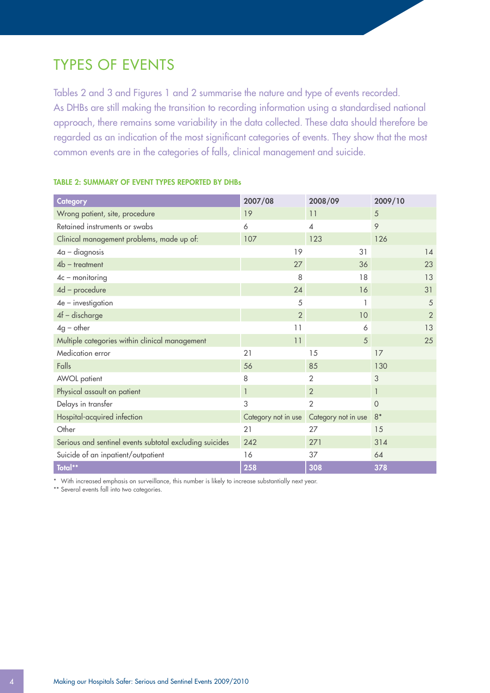### TYPES OF EVENTS

Tables 2 and 3 and Figures 1 and 2 summarise the nature and type of events recorded. As DHBs are still making the transition to recording information using a standardised national approach, there remains some variability in the data collected. These data should therefore be regarded as an indication of the most significant categories of events. They show that the most common events are in the categories of falls, clinical management and suicide.

| Category                                                | 2007/08             | 2008/09                  | 2009/10        |
|---------------------------------------------------------|---------------------|--------------------------|----------------|
| Wrong patient, site, procedure                          | 19                  | 11                       | 5              |
| Retained instruments or swabs                           | 6                   | $\overline{\mathcal{A}}$ | 9              |
| Clinical management problems, made up of:               | 107                 | 123                      | 126            |
| $4a - diagnosis$                                        | 19                  | 31                       | 14             |
| $4b$ – treatment                                        | 27                  | 36                       | 23             |
| $4c$ – monitoring                                       | 8                   | 18                       | 13             |
| 4d - procedure                                          | 24                  | 16                       | 31             |
| $4e$ – investigation                                    | 5                   |                          | 5              |
| $4f$ – discharge                                        | $\overline{2}$      | 10                       | $\overline{2}$ |
| $4g$ – other                                            | 11                  | 6                        | 13             |
| Multiple categories within clinical management          | 11                  | 5                        | 25             |
| Medication error                                        | 21                  | 15                       | 17             |
| Falls                                                   | 56                  | 85                       | 130            |
| AWOL patient                                            | 8                   | $\overline{2}$           | 3              |
| Physical assault on patient                             | $\mathbf{1}$        | $\overline{2}$           | $\mathbf{1}$   |
| Delays in transfer                                      | 3                   | $\overline{2}$           | $\overline{0}$ |
| Hospital-acquired infection                             | Category not in use | Category not in use      | $8*$           |
| Other                                                   | 21                  | 27                       | 15             |
| Serious and sentinel events subtotal excluding suicides | 242                 | 271                      | 314            |
| Suicide of an inpatient/outpatient                      | 16                  | 37                       | 64             |
| Total**                                                 | 258                 | 308                      | 378            |

#### TABLE 2: SUMMARY OF EVENT TYPES REPORTED BY DHBs

\* With increased emphasis on surveillance, this number is likely to increase substantially next year.

\*\* Several events fall into two categories.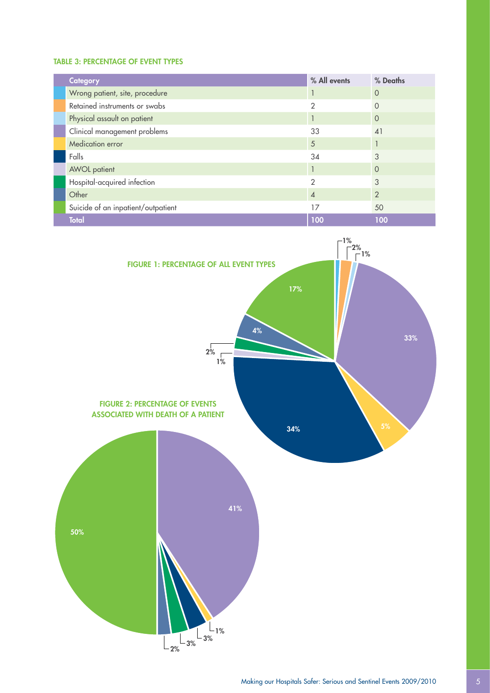#### TABLE 3: PERCENTAGE OF EVENT TYPES

| <b>Category</b>                    | % All events  | % Deaths      |
|------------------------------------|---------------|---------------|
| Wrong patient, site, procedure     |               | $\Omega$      |
| Retained instruments or swabs      |               |               |
| Physical assault on patient        |               | $\Omega$      |
| Clinical management problems       | 33            | 41            |
| Medication error                   | 5             |               |
| Falls                              | 34            | 3             |
| <b>AWOL</b> patient                |               | 0             |
| Hospital-acquired infection        | $\mathcal{P}$ | 3             |
| Other                              | 4             | $\mathcal{P}$ |
| Suicide of an inpatient/outpatient | 17            | 50            |
| <b>Total</b>                       | 100           | 100           |

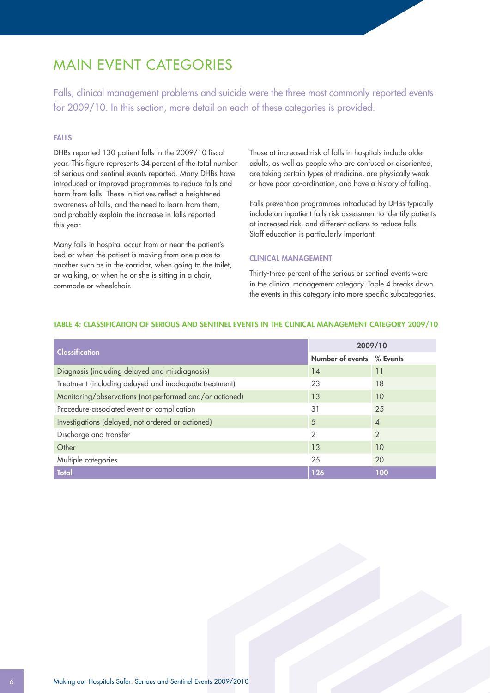### MAIN EVENT CATEGORIES

Falls, clinical management problems and suicide were the three most commonly reported events for 2009/10. In this section, more detail on each of these categories is provided.

#### FALLS

DHBs reported 130 patient falls in the 2009/10 fiscal year. This figure represents 34 percent of the total number of serious and sentinel events reported. Many DHBs have introduced or improved programmes to reduce falls and harm from falls. These initiatives reflect a heightened awareness of falls, and the need to learn from them, and probably explain the increase in falls reported this year.

Many falls in hospital occur from or near the patient's bed or when the patient is moving from one place to another such as in the corridor, when going to the toilet, or walking, or when he or she is sitting in a chair, commode or wheelchair.

Those at increased risk of falls in hospitals include older adults, as well as people who are confused or disoriented, are taking certain types of medicine, are physically weak or have poor co-ordination, and have a history of falling.

Falls prevention programmes introduced by DHBs typically include an inpatient falls risk assessment to identify patients at increased risk, and different actions to reduce falls. Staff education is particularly important.

#### Clinical management

Thirty-three percent of the serious or sentinel events were in the clinical management category. Table 4 breaks down the events in this category into more specific subcategories.

| <b>Classification</b>                                   | 2009/10          |                             |
|---------------------------------------------------------|------------------|-----------------------------|
|                                                         | Number of events | % Events                    |
| Diagnosis (including delayed and misdiagnosis)          | 14               | 11                          |
| Treatment (including delayed and inadequate treatment)  | 23               | 18                          |
| Monitoring/observations (not performed and/or actioned) | 13               | 10                          |
| Procedure-associated event or complication              | 31               | 25                          |
| Investigations (delayed, not ordered or actioned)       | 5                | $\boldsymbol{\vartriangle}$ |
| Discharge and transfer                                  | $\mathcal{P}$    | $\mathcal{P}$               |
| Other                                                   | 13               | 10                          |
| Multiple categories                                     | 25               | 20                          |
| <b>Total</b>                                            | 126              | 100                         |

#### TABLE 4: Classification of serious and sentinel events in the clinical management category 2009/10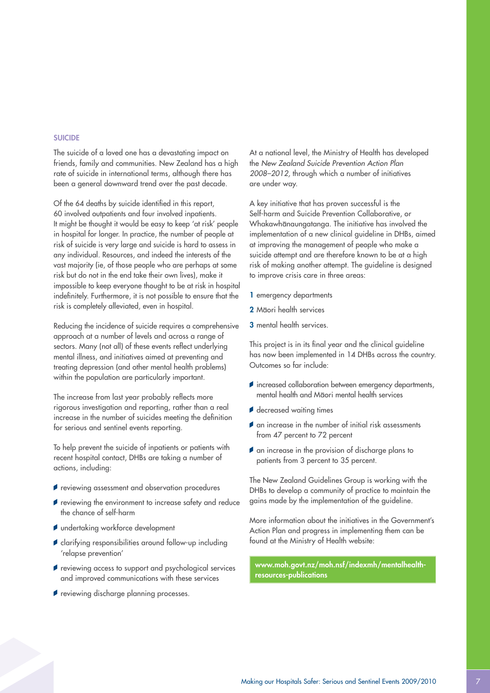#### **SUICIDE**

The suicide of a loved one has a devastating impact on friends, family and communities. New Zealand has a high rate of suicide in international terms, although there has been a general downward trend over the past decade.

Of the 64 deaths by suicide identified in this report, 60 involved outpatients and four involved inpatients. It might be thought it would be easy to keep 'at risk' people in hospital for longer. In practice, the number of people at risk of suicide is very large and suicide is hard to assess in any individual. Resources, and indeed the interests of the vast majority (ie, of those people who are perhaps at some risk but do not in the end take their own lives), make it impossible to keep everyone thought to be at risk in hospital indefinitely. Furthermore, it is not possible to ensure that the risk is completely alleviated, even in hospital.

Reducing the incidence of suicide requires a comprehensive approach at a number of levels and across a range of sectors. Many (not all) of these events reflect underlying mental illness, and initiatives aimed at preventing and treating depression (and other mental health problems) within the population are particularly important.

The increase from last year probably reflects more rigorous investigation and reporting, rather than a real increase in the number of suicides meeting the definition for serious and sentinel events reporting.

To help prevent the suicide of inpatients or patients with recent hospital contact, DHBs are taking a number of actions, including:

- *reviewing assessment and observation procedures*
- reviewing the environment to increase safety and reduce the chance of self-harm
- undertaking workforce development
- *clarifying responsibilities around follow-up including* 'relapse prevention'
- reviewing access to support and psychological services and improved communications with these services
- reviewing discharge planning processes.

At a national level, the Ministry of Health has developed the *New Zealand Suicide Prevention Action Plan 2008–2012,* through which a number of initiatives are under way.

A key initiative that has proven successful is the Self-harm and Suicide Prevention Collaborative, or Whakawhanaungatanga. The initiative has involved the implementation of a new clinical guideline in DHBs, aimed at improving the management of people who make a suicide attempt and are therefore known to be at a high risk of making another attempt. The guideline is designed to improve crisis care in three areas:

- 1 emergency departments
- 2 Maori health services
- 3 mental health services.

This project is in its final year and the clinical guideline has now been implemented in 14 DHBs across the country. Outcomes so far include:

- *i* increased collaboration between emergency departments, mental health and Māori mental health services
- decreased waiting times
- an increase in the number of initial risk assessments from 47 percent to 72 percent
- an increase in the provision of discharge plans to patients from 3 percent to 35 percent.

The New Zealand Guidelines Group is working with the DHBs to develop a community of practice to maintain the gains made by the implementation of the guideline.

More information about the initiatives in the Government's Action Plan and progress in implementing them can be found at the Ministry of Health website:

www.moh.govt.nz/moh.nsf/indexmh/mentalhealthresources-publications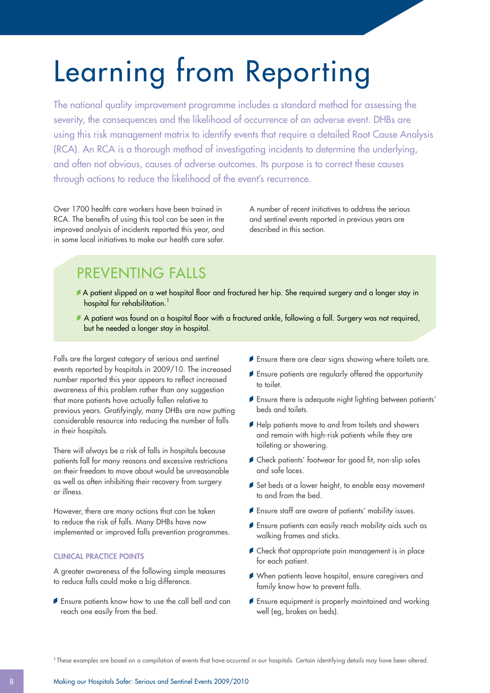# Learning from Reporting

The national quality improvement programme includes a standard method for assessing the severity, the consequences and the likelihood of occurrence of an adverse event. DHBs are using this risk management matrix to identify events that require a detailed Root Cause Analysis (RCA). An RCA is a thorough method of investigating incidents to determine the underlying, and often not obvious, causes of adverse outcomes. Its purpose is to correct these causes through actions to reduce the likelihood of the event's recurrence.

Over 1700 health care workers have been trained in RCA. The benefits of using this tool can be seen in the improved analysis of incidents reported this year, and in some local initiatives to make our health care safer. A number of recent initiatives to address the serious and sentinel events reported in previous years are described in this section.

## PREVENTING FALLS

- A patient slipped on a wet hospital floor and fractured her hip. She required surgery and a longer stay in hospital for rehabilitation.<sup>1</sup>
- A patient was found on a hospital floor with a fractured ankle, following a fall. Surgery was not required, but he needed a longer stay in hospital.

Falls are the largest category of serious and sentinel events reported by hospitals in 2009/10. The increased number reported this year appears to reflect increased awareness of this problem rather than any suggestion that more patients have actually fallen relative to previous years. Gratifyingly, many DHBs are now putting considerable resource into reducing the number of falls in their hospitals.

There will always be a risk of falls in hospitals because patients fall for many reasons and excessive restrictions on their freedom to move about would be unreasonable as well as often inhibiting their recovery from surgery or illness.

However, there are many actions that can be taken to reduce the risk of falls. Many DHBs have now implemented or improved falls prevention programmes.

#### Clinical practice points

A greater awareness of the following simple measures to reduce falls could make a big difference.

Ensure patients know how to use the call bell and can reach one easily from the bed.

- **Ensure there are clear signs showing where toilets are.**
- **Ensure patients are regularly offered the opportunity** to toilet.
- Ensure there is adequate night lighting between patients' beds and toilets.
- Help patients move to and from toilets and showers and remain with high-risk patients while they are toileting or showering.
- Check patients' footwear for good fit, non-slip soles and safe laces.
- Set beds at a lower height, to enable easy movement to and from the bed.
- Ensure staff are aware of patients' mobility issues.
- Ensure patients can easily reach mobility aids such as walking frames and sticks.
- Check that appropriate pain management is in place for each patient.
- When patients leave hospital, ensure caregivers and family know how to prevent falls.
- **f** Ensure equipment is properly maintained and working well (eg, brakes on beds).

<sup>1</sup> These examples are based on a compilation of events that have occurred in our hospitals. Certain identifying details may have been altered.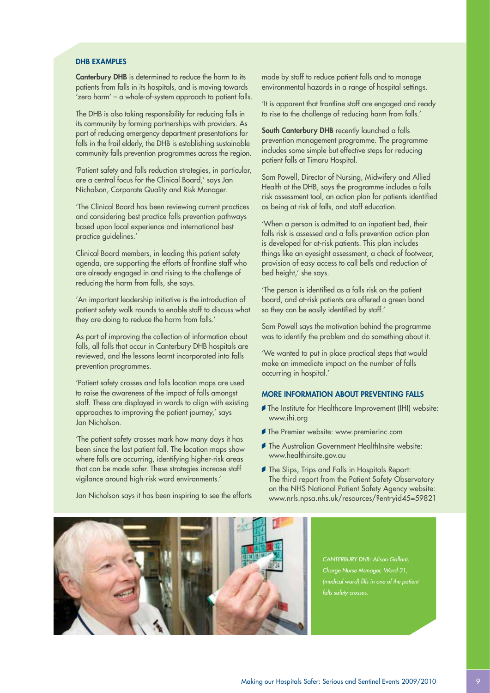#### DHR EXAMPLES

Canterbury DHB is determined to reduce the harm to its patients from falls in its hospitals, and is moving towards 'zero harm' – a whole-of-system approach to patient falls.

The DHB is also taking responsibility for reducing falls in its community by forming partnerships with providers. As part of reducing emergency department presentations for falls in the frail elderly, the DHB is establishing sustainable community falls prevention programmes across the region.

'Patient safety and falls reduction strategies, in particular, are a central focus for the Clinical Board,' says Jan Nicholson, Corporate Quality and Risk Manager.

'The Clinical Board has been reviewing current practices and considering best practice falls prevention pathways based upon local experience and international best practice guidelines.'

Clinical Board members, in leading this patient safety agenda, are supporting the efforts of frontline staff who are already engaged in and rising to the challenge of reducing the harm from falls, she says.

'An important leadership initiative is the introduction of patient safety walk rounds to enable staff to discuss what they are doing to reduce the harm from falls.'

As part of improving the collection of information about falls, all falls that occur in Canterbury DHB hospitals are reviewed, and the lessons learnt incorporated into falls prevention programmes.

'Patient safety crosses and falls location maps are used to raise the awareness of the impact of falls amongst staff. These are displayed in wards to align with existing approaches to improving the patient journey,' says Jan Nicholson.

'The patient safety crosses mark how many days it has been since the last patient fall. The location maps show where falls are occurring, identifying higher-risk areas that can be made safer. These strategies increase staff vigilance around high-risk ward environments.'

Jan Nicholson says it has been inspiring to see the efforts

made by staff to reduce patient falls and to manage environmental hazards in a range of hospital settings.

'It is apparent that frontline staff are engaged and ready to rise to the challenge of reducing harm from falls.'

South Canterbury DHB recently launched a falls prevention management programme. The programme includes some simple but effective steps for reducing patient falls at Timaru Hospital.

Sam Powell, Director of Nursing, Midwifery and Allied Health at the DHB, says the programme includes a falls risk assessment tool, an action plan for patients identified as being at risk of falls, and staff education.

'When a person is admitted to an inpatient bed, their falls risk is assessed and a falls prevention action plan is developed for at-risk patients. This plan includes things like an eyesight assessment, a check of footwear, provision of easy access to call bells and reduction of bed height,' she says.

'The person is identified as a falls risk on the patient board, and at-risk patients are offered a green band so they can be easily identified by staff.'

Sam Powell says the motivation behind the programme was to identify the problem and do something about it.

'We wanted to put in place practical steps that would make an immediate impact on the number of falls occurring in hospital.'

#### More information about preventing falls

- The Institute for Healthcare Improvement (IHI) website: www.ihi.org
- The Premier website: www.premierinc.com
- The Australian Government HealthInsite website: www.healthinsite.gov.au
- The Slips, Trips and Falls in Hospitals Report: The third report from the Patient Safety Observatory on the NHS National Patient Safety Agency website: www.nrls.npsa.nhs.uk/resources/?entryid45=59821



*CANTERBURY DHB: Alison Gallant, Charge Nurse Manager, Ward 31, (medical ward) fills in one of the patient falls safety crosses.*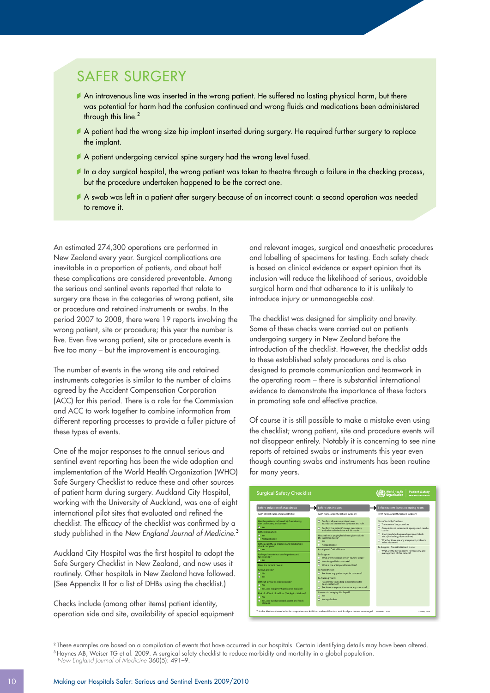### SAFER SURGERY

- An intravenous line was inserted in the wrong patient. He suffered no lasting physical harm, but there was potential for harm had the confusion continued and wrong fluids and medications been administered through this line.<sup>2</sup>
- A patient had the wrong size hip implant inserted during surgery. He required further surgery to replace the implant.
- A patient undergoing cervical spine surgery had the wrong level fused.
- In a day surgical hospital, the wrong patient was taken to theatre through a failure in the checking process, but the procedure undertaken happened to be the correct one.
- A swab was left in a patient after surgery because of an incorrect count: a second operation was needed to remove it.

An estimated 274,300 operations are performed in New Zealand every year. Surgical complications are inevitable in a proportion of patients, and about half these complications are considered preventable. Among the serious and sentinel events reported that relate to surgery are those in the categories of wrong patient, site or procedure and retained instruments or swabs. In the period 2007 to 2008, there were 19 reports involving the wrong patient, site or procedure; this year the number is five. Even five wrong patient, site or procedure events is five too many – but the improvement is encouraging.

The number of events in the wrong site and retained instruments categories is similar to the number of claims agreed by the Accident Compensation Corporation (ACC) for this period. There is a role for the Commission and ACC to work together to combine information from different reporting processes to provide a fuller picture of these types of events.

One of the major responses to the annual serious and sentinel event reporting has been the wide adoption and implementation of the World Health Organization (WHO) Safe Surgery Checklist to reduce these and other sources of patient harm during surgery. Auckland City Hospital, working with the University of Auckland, was one of eight international pilot sites that evaluated and refined the checklist. The efficacy of the checklist was confirmed by a study published in the *New England Journal of Medicine.*<sup>3</sup>

Auckland City Hospital was the first hospital to adopt the Safe Surgery Checklist in New Zealand, and now uses it routinely. Other hospitals in New Zealand have followed. (See Appendix II for a list of DHBs using the checklist.)

Checks include (among other items) patient identity, operation side and site, availability of special equipment and relevant images, surgical and anaesthetic procedures and labelling of specimens for testing. Each safety check is based on clinical evidence or expert opinion that its inclusion will reduce the likelihood of serious, avoidable surgical harm and that adherence to it is unlikely to introduce injury or unmanageable cost.

The checklist was designed for simplicity and brevity. Some of these checks were carried out on patients undergoing surgery in New Zealand before the introduction of the checklist. However, the checklist adds to these established safety procedures and is also designed to promote communication and teamwork in the operating room – there is substantial international evidence to demonstrate the importance of these factors in promoting safe and effective practice.

Of course it is still possible to make a mistake even using the checklist; wrong patient, site and procedure events will not disappear entirely. Notably it is concerning to see nine reports of retained swabs or instruments this year even though counting swabs and instruments has been routine for many years.

| <b>Surgical Safety Checklist</b>                                                                                                                                                                                                                                                                                                                                                                                                                                                                                                                                                                                                                                                                                               |                                                                                                                                                                                                                                                                                                                                                                                                                                                                                                                                                                                                                                                                                                                                                                                                                      | <b>World Health</b><br><b>Patient Safety</b><br><b>Organization</b><br>A Week Call area for Saler Hough Cars                                                                                                                                                                                                                                                                                                                                                      |
|--------------------------------------------------------------------------------------------------------------------------------------------------------------------------------------------------------------------------------------------------------------------------------------------------------------------------------------------------------------------------------------------------------------------------------------------------------------------------------------------------------------------------------------------------------------------------------------------------------------------------------------------------------------------------------------------------------------------------------|----------------------------------------------------------------------------------------------------------------------------------------------------------------------------------------------------------------------------------------------------------------------------------------------------------------------------------------------------------------------------------------------------------------------------------------------------------------------------------------------------------------------------------------------------------------------------------------------------------------------------------------------------------------------------------------------------------------------------------------------------------------------------------------------------------------------|-------------------------------------------------------------------------------------------------------------------------------------------------------------------------------------------------------------------------------------------------------------------------------------------------------------------------------------------------------------------------------------------------------------------------------------------------------------------|
| <b>Before induction of anaesthesia</b><br>(with at least nurse and anaesthetist).<br>Has the patient confirmed his/her identity.<br>site, procedure, and consent?<br><b>D</b> Yes<br>Is the site marked?<br><b>n</b> Yes<br><b>D</b> Not applicable<br>Is the anaesthesia machine and medication.<br>check complete?<br><b>D</b> Yes<br>Is the pulse oximeter on the patient and<br>functioning?<br>$\Box$ Yes<br>Does the patient have a:<br>Known allergy?<br>$\Box$ No<br><b>n</b> Yes<br>Difficult airway or aspiration risk?<br>n <sub>No</sub><br>T Yes, and equipment/assistance available<br>Risk of >500ml blood loss (7ml/kg in children)?<br><b>D</b> No<br>T Yes, and two IVs/central access and fluids<br>planned | <b>Before skin incision</b><br>(with nurse, anaesthetist and surgeon)<br>Confirm all team members have<br>introduced themselves by name and role.<br>Confirm the patient's name, procedure.<br>and where the incision will be made<br>Has antibiotic prophylaxis been given within<br>the last 60 minutes?<br>п<br>Yes.<br><b>D</b> Not applicable<br><b>Anticipated Critical Events</b><br>To Surgeon:<br>What are the critical or non-routine steps?<br>о<br>How long will the case take?<br>What is the anticipated blood loss?<br>To Anaesthetist:<br>Are there any patient-specific concerns?<br>To Nursing Team:<br>$\Box$ Has sterility (including indicator results)<br>been confirmed?<br>Are there equipment issues or any concerns?<br>Is essential imaging displayed?<br>п<br>Yes<br>o<br>Not applicable | Before patient leaves operating room<br>(with nurse, anaesthetist and surgeon)<br>Nurse Verbally Confirms:<br>The name of the procedure<br>Completion of instrument, sponge and needle<br>counts<br>Specimen labelling (read specimen labels<br>aloud, including patient name)<br>Whether there are any equipment problems<br>to be addressed<br>To Surgeon, Anaesthetist and Nurse:<br>What are the key concerns for recovery and<br>management of this patient? |
| This checklist is not intended to be comprehensive. Additions and modifications to fit local practice are encouraged.                                                                                                                                                                                                                                                                                                                                                                                                                                                                                                                                                                                                          |                                                                                                                                                                                                                                                                                                                                                                                                                                                                                                                                                                                                                                                                                                                                                                                                                      | Revised 1/2009<br>© WHO, 2009                                                                                                                                                                                                                                                                                                                                                                                                                                     |

<sup>2</sup> These examples are based on a compilation of events that have occurred in our hospitals. Certain identifying details may have been altered. <sup>3</sup>Haynes AB, Weiser TG et al. 2009. A surgical safety checklist to reduce morbidity and mortality in a global population.

*New England Journal of Medicine* 360(5): 491–9.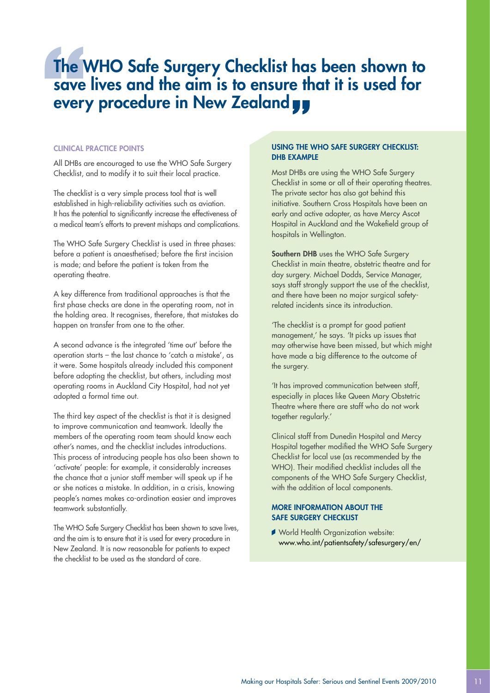## The WHO Safe Surgery Checklist has been shown to save lives and the aim is to ensure that it is used for every procedure in New Zealand yy

#### Clinical practice points

All DHBs are encouraged to use the WHO Safe Surgery Checklist, and to modify it to suit their local practice.

The checklist is a very simple process tool that is well established in high-reliability activities such as aviation. It has the potential to significantly increase the effectiveness of a medical team's efforts to prevent mishaps and complications.

The WHO Safe Surgery Checklist is used in three phases: before a patient is anaesthetised; before the first incision is made; and before the patient is taken from the operating theatre.

A key difference from traditional approaches is that the first phase checks are done in the operating room, not in the holding area. It recognises, therefore, that mistakes do happen on transfer from one to the other.

A second advance is the integrated 'time out' before the operation starts – the last chance to 'catch a mistake', as it were. Some hospitals already included this component before adopting the checklist, but others, including most operating rooms in Auckland City Hospital, had not yet adopted a formal time out.

The third key aspect of the checklist is that it is designed to improve communication and teamwork. Ideally the members of the operating room team should know each other's names, and the checklist includes introductions. This process of introducing people has also been shown to 'activate' people: for example, it considerably increases the chance that a junior staff member will speak up if he or she notices a mistake. In addition, in a crisis, knowing people's names makes co-ordination easier and improves teamwork substantially.

The WHO Safe Surgery Checklist has been shown to save lives, and the aim is to ensure that it is used for every procedure in New Zealand. It is now reasonable for patients to expect the checklist to be used as the standard of care.

#### Using the WHO Safe Surgery Checklist: DHB EXAMPLE

Most DHBs are using the WHO Safe Surgery Checklist in some or all of their operating theatres. The private sector has also got behind this initiative. Southern Cross Hospitals have been an early and active adopter, as have Mercy Ascot Hospital in Auckland and the Wakefield group of hospitals in Wellington.

Southern DHB uses the WHO Safe Surgery Checklist in main theatre, obstetric theatre and for day surgery. Michael Dodds, Service Manager, says staff strongly support the use of the checklist, and there have been no major surgical safetyrelated incidents since its introduction.

'The checklist is a prompt for good patient management,' he says. 'It picks up issues that may otherwise have been missed, but which might have made a big difference to the outcome of the surgery.

'It has improved communication between staff, especially in places like Queen Mary Obstetric Theatre where there are staff who do not work together regularly.'

Clinical staff from Dunedin Hospital and Mercy Hospital together modified the WHO Safe Surgery Checklist for local use (as recommended by the WHO). Their modified checklist includes all the components of the WHO Safe Surgery Checklist, with the addition of local components.

#### More information about the Safe Surgery Checklist

World Health Organization website: www.who.int/patientsafety/safesurgery/en/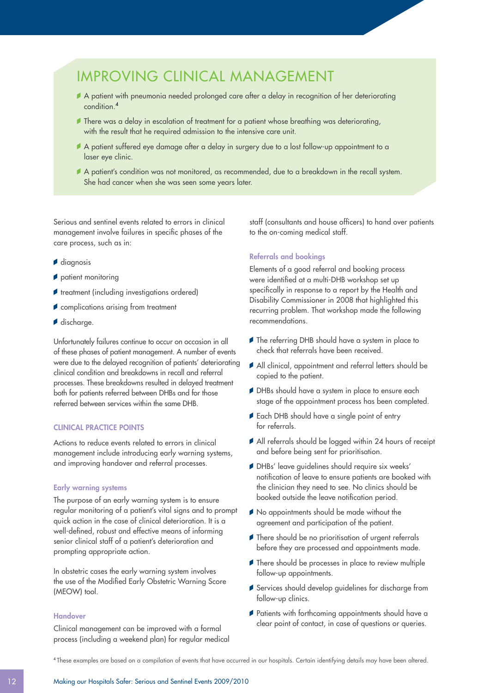### IMPROVING CLINICAL MANAGEMENT

- A patient with pneumonia needed prolonged care after a delay in recognition of her deteriorating condition.<sup>4</sup>
- There was a delay in escalation of treatment for a patient whose breathing was deteriorating, with the result that he required admission to the intensive care unit.
- A patient suffered eye damage after a delay in surgery due to a lost follow-up appointment to a laser eye clinic.
- A patient's condition was not monitored, as recommended, due to a breakdown in the recall system. She had cancer when she was seen some years later.

Serious and sentinel events related to errors in clinical management involve failures in specific phases of the care process, such as in:

- diagnosis
- patient monitoring
- **f** treatment (including investigations ordered)
- complications arising from treatment
- discharge.

Unfortunately failures continue to occur on occasion in all of these phases of patient management. A number of events were due to the delayed recognition of patients' deteriorating clinical condition and breakdowns in recall and referral processes. These breakdowns resulted in delayed treatment both for patients referred between DHBs and for those referred between services within the same DHB.

#### Clinical practice points

Actions to reduce events related to errors in clinical management include introducing early warning systems, and improving handover and referral processes.

#### Early warning systems

The purpose of an early warning system is to ensure regular monitoring of a patient's vital signs and to prompt quick action in the case of clinical deterioration. It is a well-defined, robust and effective means of informing senior clinical staff of a patient's deterioration and prompting appropriate action.

In obstetric cases the early warning system involves the use of the Modified Early Obstetric Warning Score (MEOW) tool.

#### Handover

Clinical management can be improved with a formal process (including a weekend plan) for regular medical

staff (consultants and house officers) to hand over patients to the on-coming medical staff.

#### Referrals and bookings

Elements of a good referral and booking process were identified at a multi-DHB workshop set up specifically in response to a report by the Health and Disability Commissioner in 2008 that highlighted this recurring problem. That workshop made the following recommendations.

- The referring DHB should have a system in place to check that referrals have been received.
- All clinical, appointment and referral letters should be copied to the patient.
- DHBs should have a system in place to ensure each stage of the appointment process has been completed.
- Each DHB should have a single point of entry for referrals.
- All referrals should be logged within 24 hours of receipt and before being sent for prioritisation.
- DHBs' leave auidelines should require six weeks' notification of leave to ensure patients are booked with the clinician they need to see. No clinics should be booked outside the leave notification period.
- $\blacktriangleright$  No appointments should be made without the agreement and participation of the patient.
- There should be no prioritisation of urgent referrals before they are processed and appointments made.
- There should be processes in place to review multiple follow-up appointments.
- Services should develop guidelines for discharge from follow-up clinics.
- Patients with forthcoming appointments should have a clear point of contact, in case of questions or queries.

<sup>4</sup> These examples are based on a compilation of events that have occurred in our hospitals. Certain identifying details may have been altered.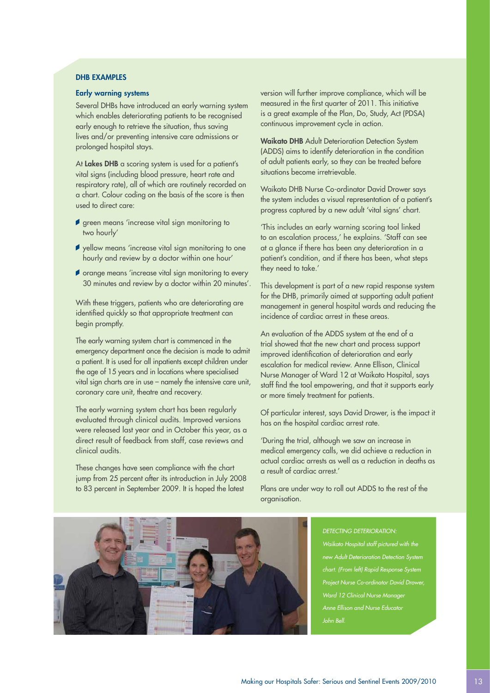#### DHB EXAMPLES

#### Early warning systems

Several DHBs have introduced an early warning system which enables deteriorating patients to be recognised early enough to retrieve the situation, thus saving lives and/or preventing intensive care admissions or prolonged hospital stays.

At Lakes DHB a scoring system is used for a patient's vital signs (including blood pressure, heart rate and respiratory rate), all of which are routinely recorded on a chart. Colour coding on the basis of the score is then used to direct care:

- **f** green means 'increase vital sign monitoring to two hourly'
- $\blacktriangleright$  yellow means 'increase vital sign monitoring to one hourly and review by a doctor within one hour'
- orange means 'increase vital sign monitoring to every 30 minutes and review by a doctor within 20 minutes'.

With these triggers, patients who are deteriorating are identified quickly so that appropriate treatment can begin promptly.

The early warning system chart is commenced in the emergency department once the decision is made to admit a patient. It is used for all inpatients except children under the age of 15 years and in locations where specialised vital sign charts are in use – namely the intensive care unit, coronary care unit, theatre and recovery.

The early warning system chart has been regularly evaluated through clinical audits. Improved versions were released last year and in October this year, as a direct result of feedback from staff, case reviews and clinical audits.

These changes have seen compliance with the chart jump from 25 percent after its introduction in July 2008 to 83 percent in September 2009. It is hoped the latest

version will further improve compliance, which will be measured in the first quarter of 2011. This initiative is a great example of the Plan, Do, Study, Act (PDSA) continuous improvement cycle in action.

Waikato DHB Adult Deterioration Detection System (ADDS) aims to identify deterioration in the condition of adult patients early, so they can be treated before situations become irretrievable.

Waikato DHB Nurse Co-ordinator David Drower says the system includes a visual representation of a patient's progress captured by a new adult 'vital signs' chart.

'This includes an early warning scoring tool linked to an escalation process,' he explains. 'Staff can see at a glance if there has been any deterioration in a patient's condition, and if there has been, what steps they need to take.'

This development is part of a new rapid response system for the DHB, primarily aimed at supporting adult patient management in general hospital wards and reducing the incidence of cardiac arrest in these areas.

An evaluation of the ADDS system at the end of a trial showed that the new chart and process support improved identification of deterioration and early escalation for medical review. Anne Ellison, Clinical Nurse Manager of Ward 12 at Waikato Hospital, says staff find the tool empowering, and that it supports early or more timely treatment for patients.

Of particular interest, says David Drower, is the impact it has on the hospital cardiac arrest rate.

'During the trial, although we saw an increase in medical emergency calls, we did achieve a reduction in actual cardiac arrests as well as a reduction in deaths as a result of cardiac arrest.'

Plans are under way to roll out ADDS to the rest of the organisation.



*DETECTING DETERIORATION: Waikato Hospital staff pictured with the new Adult Deterioration Detection System chart. (From left) Rapid Response System Project Nurse Co-ordinator David Drower, Ward 12 Clinical Nurse Manager Anne Ellison and Nurse Educator John Bell.*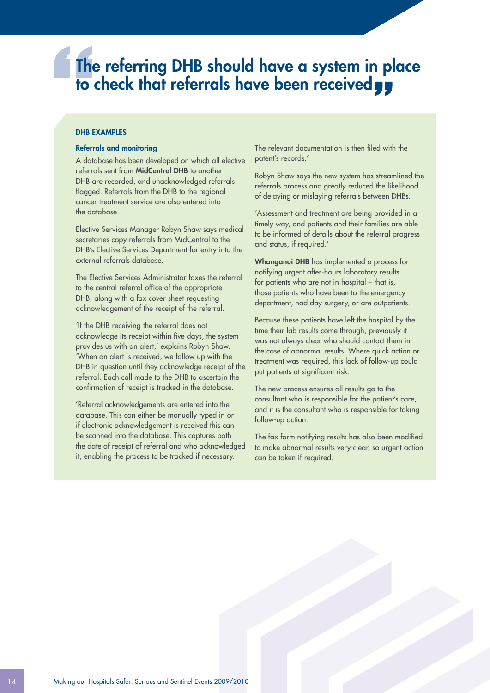## The referring DHB should have a system in place to check that referrals have been received yy

#### DHB EXAMPLES

#### Referrals and monitoring

A database has been developed on which all elective referrals sent from MidCentral DHB to another DHB are recorded, and unacknowledged referrals flagged. Referrals from the DHB to the regional cancer treatment service are also entered into the database.

Elective Services Manager Robyn Shaw says medical secretaries copy referrals from MidCentral to the DHB's Elective Services Department for entry into the external referrals database.

The Elective Services Administrator faxes the referral to the central referral office of the appropriate DHB, along with a fax cover sheet requesting acknowledgement of the receipt of the referral.

'If the DHB receiving the referral does not acknowledge its receipt within five days, the system provides us with an alert,' explains Robyn Shaw. 'When an alert is received, we follow up with the DHB in question until they acknowledge receipt of the referral. Each call made to the DHB to ascertain the confirmation of receipt is tracked in the database.

'Referral acknowledgements are entered into the database. This can either be manually typed in or if electronic acknowledgement is received this can be scanned into the database. This captures both the date of receipt of referral and who acknowledged it, enabling the process to be tracked if necessary.

The relevant documentation is then filed with the patent's records.'

Robyn Shaw says the new system has streamlined the referrals process and greatly reduced the likelihood of delaying or mislaying referrals between DHBs.

'Assessment and treatment are being provided in a timely way, and patients and their families are able to be informed of details about the referral progress and status, if required.'

Whanganui DHB has implemented a process for notifying urgent after-hours laboratory results for patients who are not in hospital – that is, those patients who have been to the emergency department, had day surgery, or are outpatients.

Because these patients have left the hospital by the time their lab results come through, previously it was not always clear who should contact them in the case of abnormal results. Where quick action or treatment was required, this lack of follow-up could put patients at significant risk.

The new process ensures all results go to the consultant who is responsible for the patient's care, and it is the consultant who is responsible for taking follow-up action.

The fax form notifying results has also been modified to make abnormal results very clear, so urgent action can be taken if required.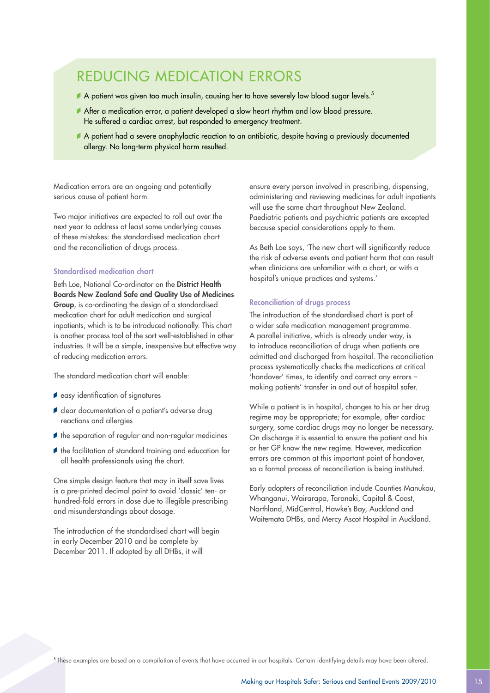### REDUCING MEDICATION ERRORS

- A patient was given too much insulin, causing her to have severely low blood sugar levels.<sup>5</sup>
- After a medication error, a patient developed a slow heart rhythm and low blood pressure. He suffered a cardiac arrest, but responded to emergency treatment.
- A patient had a severe anaphylactic reaction to an antibiotic, despite having a previously documented allergy. No long-term physical harm resulted.

Medication errors are an ongoing and potentially serious cause of patient harm.

Two major initiatives are expected to roll out over the next year to address at least some underlying causes of these mistakes: the standardised medication chart and the reconciliation of drugs process.

#### Standardised medication chart

Beth Loe, National Co-ordinator on the District Health Boards New Zealand Safe and Quality Use of Medicines Group, is co-ordinating the design of a standardised medication chart for adult medication and surgical inpatients, which is to be introduced nationally. This chart is another process tool of the sort well-established in other industries. It will be a simple, inexpensive but effective way of reducing medication errors.

The standard medication chart will enable:

- *easy identification of signatures*
- clear documentation of a patient's adverse drug reactions and allergies
- $\blacktriangleright$  the separation of regular and non-regular medicines
- the facilitation of standard training and education for all health professionals using the chart.

One simple design feature that may in itself save lives is a pre-printed decimal point to avoid 'classic' ten- or hundred-fold errors in dose due to illegible prescribing and misunderstandings about dosage.

The introduction of the standardised chart will begin in early December 2010 and be complete by December 2011. If adopted by all DHBs, it will

ensure every person involved in prescribing, dispensing, administering and reviewing medicines for adult inpatients will use the same chart throughout New Zealand. Paediatric patients and psychiatric patients are excepted because special considerations apply to them.

As Beth Loe says, 'The new chart will significantly reduce the risk of adverse events and patient harm that can result when clinicians are unfamiliar with a chart, or with a hospital's unique practices and systems.'

#### Reconciliation of drugs process

The introduction of the standardised chart is part of a wider safe medication management programme. A parallel initiative, which is already under way, is to introduce reconciliation of drugs when patients are admitted and discharged from hospital. The reconciliation process systematically checks the medications at critical 'handover' times, to identify and correct any errors – making patients' transfer in and out of hospital safer.

While a patient is in hospital, changes to his or her drug regime may be appropriate; for example, after cardiac surgery, some cardiac drugs may no longer be necessary. On discharge it is essential to ensure the patient and his or her GP know the new regime. However, medication errors are common at this important point of handover, so a formal process of reconciliation is being instituted.

Early adopters of reconciliation include Counties Manukau, Whanganui, Wairarapa, Taranaki, Capital & Coast, Northland, MidCentral, Hawke's Bay, Auckland and Waitemata DHBs, and Mercy Ascot Hospital in Auckland.

<sup>5</sup> These examples are based on a compilation of events that have occurred in our hospitals. Certain identifying details may have been altered.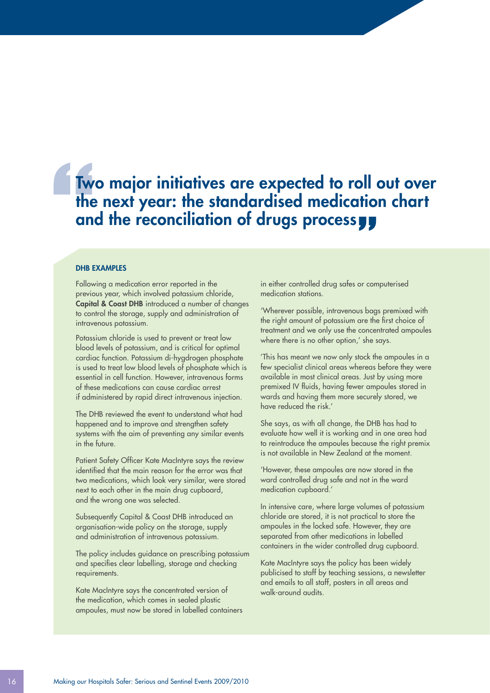## Two major initiatives are expected to roll out over the next year: the standardised medication chart and the reconciliation of drugs processyy

#### DHB EXAMPLES

Following a medication error reported in the previous year, which involved potassium chloride, Capital & Coast DHB introduced a number of changes to control the storage, supply and administration of intravenous potassium.

Potassium chloride is used to prevent or treat low blood levels of potassium, and is critical for optimal cardiac function. Potassium di-hygdrogen phosphate is used to treat low blood levels of phosphate which is essential in cell function. However, intravenous forms of these medications can cause cardiac arrest if administered by rapid direct intravenous injection.

The DHB reviewed the event to understand what had happened and to improve and strengthen safety systems with the aim of preventing any similar events in the future.

Patient Safety Officer Kate MacIntyre says the review identified that the main reason for the error was that two medications, which look very similar, were stored next to each other in the main drug cupboard, and the wrong one was selected.

Subsequently Capital & Coast DHB introduced an organisation-wide policy on the storage, supply and administration of intravenous potassium.

The policy includes guidance on prescribing potassium and specifies clear labelling, storage and checking requirements.

Kate MacIntyre says the concentrated version of the medication, which comes in sealed plastic ampoules, must now be stored in labelled containers in either controlled drug safes or computerised medication stations.

'Wherever possible, intravenous bags premixed with the right amount of potassium are the first choice of treatment and we only use the concentrated ampoules where there is no other option,' she says.

'This has meant we now only stock the ampoules in a few specialist clinical areas whereas before they were available in most clinical areas. Just by using more premixed IV fluids, having fewer ampoules stored in wards and having them more securely stored, we have reduced the risk.'

She says, as with all change, the DHB has had to evaluate how well it is working and in one area had to reintroduce the ampoules because the right premix is not available in New Zealand at the moment.

'However, these ampoules are now stored in the ward controlled drug safe and not in the ward medication cupboard.'

In intensive care, where large volumes of potassium chloride are stored, it is not practical to store the ampoules in the locked safe. However, they are separated from other medications in labelled containers in the wider controlled drug cupboard.

Kate MacIntyre says the policy has been widely publicised to staff by teaching sessions, a newsletter and emails to all staff, posters in all areas and walk-around audits.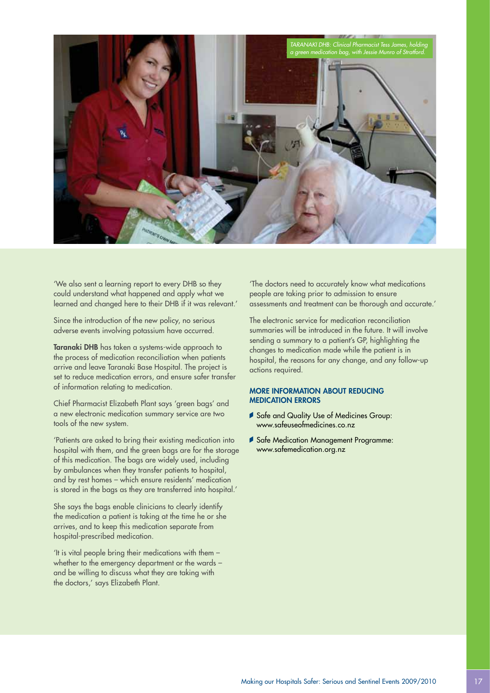

'We also sent a learning report to every DHB so they could understand what happened and apply what we learned and changed here to their DHB if it was relevant.'

Since the introduction of the new policy, no serious adverse events involving potassium have occurred.

Taranaki DHB has taken a systems-wide approach to the process of medication reconciliation when patients arrive and leave Taranaki Base Hospital. The project is set to reduce medication errors, and ensure safer transfer of information relating to medication.

Chief Pharmacist Elizabeth Plant says 'green bags' and a new electronic medication summary service are two tools of the new system.

'Patients are asked to bring their existing medication into hospital with them, and the green bags are for the storage of this medication. The bags are widely used, including by ambulances when they transfer patients to hospital, and by rest homes – which ensure residents' medication is stored in the bags as they are transferred into hospital.'

She says the bags enable clinicians to clearly identify the medication a patient is taking at the time he or she arrives, and to keep this medication separate from hospital-prescribed medication.

'It is vital people bring their medications with them – whether to the emergency department or the wards – and be willing to discuss what they are taking with the doctors,' says Elizabeth Plant.

'The doctors need to accurately know what medications people are taking prior to admission to ensure assessments and treatment can be thorough and accurate.'

The electronic service for medication reconciliation summaries will be introduced in the future. It will involve sending a summary to a patient's GP, highlighting the changes to medication made while the patient is in hospital, the reasons for any change, and any follow-up actions required.

#### More information about REDUCING MEDICATION ERRORS

- Safe and Quality Use of Medicines Group: www.safeuseofmedicines.co.nz
- Safe Medication Management Programme: www.safemedication.org.nz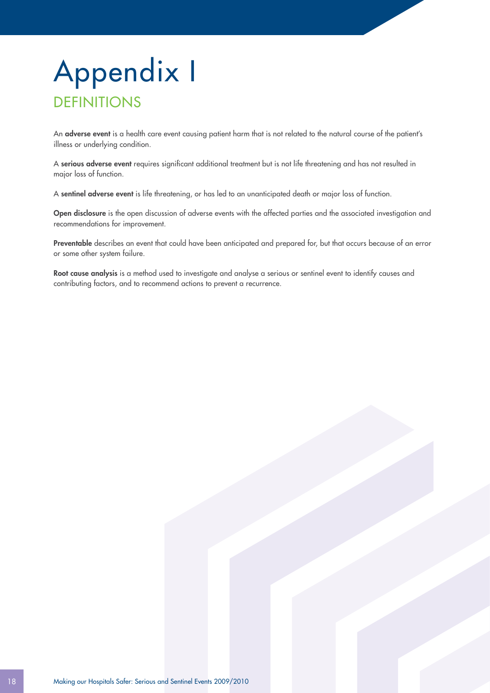## Appendix I **DEFINITIONS**

An adverse event is a health care event causing patient harm that is not related to the natural course of the patient's illness or underlying condition.

A serious adverse event requires significant additional treatment but is not life threatening and has not resulted in major loss of function.

A sentinel adverse event is life threatening, or has led to an unanticipated death or major loss of function.

Open disclosure is the open discussion of adverse events with the affected parties and the associated investigation and recommendations for improvement.

Preventable describes an event that could have been anticipated and prepared for, but that occurs because of an error or some other system failure.

Root cause analysis is a method used to investigate and analyse a serious or sentinel event to identify causes and contributing factors, and to recommend actions to prevent a recurrence.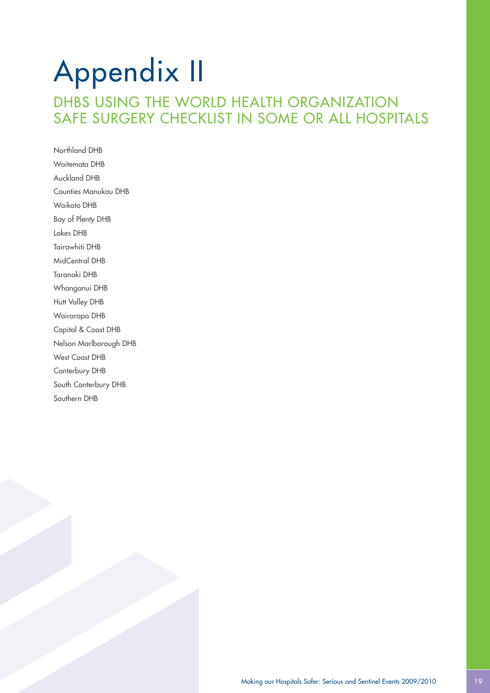## Appendix II DHBS USING THE WORLD HEALTH ORGANIZATION SAFE SURGERY CHECKLIST IN SOME OR ALL HOSPITALS

Northland DHB Waitemata DHB Auckland DHB Counties Manukau DHB Waikato DHB Bay of Plenty DHB Lakes DHB Tairawhiti DHB MidCentral DHB Taranaki DHB Whanganui DHB Hutt Valley DHB Wairarapa DHB Capital & Coast DHB Nelson Marlborough DHB West Coast DHB Canterbury DHB South Canterbury DHB Southern DHB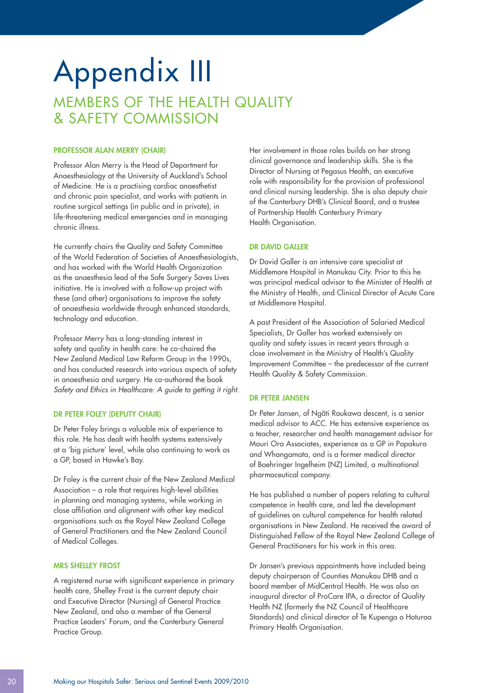## Appendix III MEMBERS OF THE HEALTH QUALITY & SAFETY COMMISSION

#### Professor Alan Merry (Chair)

Professor Alan Merry is the Head of Department for Anaesthesiology at the University of Auckland's School of Medicine. He is a practising cardiac anaesthetist and chronic pain specialist, and works with patients in routine surgical settings (in public and in private), in life-threatening medical emergencies and in managing chronic illness.

He currently chairs the Quality and Safety Committee of the World Federation of Societies of Anaesthesiologists, and has worked with the World Health Organization as the anaesthesia lead of the Safe Surgery Saves Lives initiative. He is involved with a follow-up project with these (and other) organisations to improve the safety of anaesthesia worldwide through enhanced standards, technology and education.

Professor Merry has a long-standing interest in safety and quality in health care: he co-chaired the New Zealand Medical Law Reform Group in the 1990s, and has conducted research into various aspects of safety in anaesthesia and surgery. He co-authored the book *Safety and Ethics in Healthcare: A guide to getting it right*.

#### Dr Peter Foley (Deputy Chair)

Dr Peter Foley brings a valuable mix of experience to this role. He has dealt with health systems extensively at a 'big picture' level, while also continuing to work as a GP, based in Hawke's Bay.

Dr Foley is the current chair of the New Zealand Medical Association – a role that requires high-level abilities in planning and managing systems, while working in close affiliation and alignment with other key medical organisations such as the Royal New Zealand College of General Practitioners and the New Zealand Council of Medical Colleges.

#### Mrs Shelley Frost

A registered nurse with significant experience in primary health care, Shelley Frost is the current deputy chair and Executive Director (Nursing) of General Practice New Zealand, and also a member of the General Practice Leaders' Forum, and the Canterbury General Practice Group.

Her involvement in those roles builds on her strong clinical governance and leadership skills. She is the Director of Nursing at Pegasus Health, an executive role with responsibility for the provision of professional and clinical nursing leadership. She is also deputy chair of the Canterbury DHB's Clinical Board, and a trustee of Partnership Health Canterbury Primary Health Organisation.

#### Dr David Galler

Dr David Galler is an intensive care specialist at Middlemore Hospital in Manukau City. Prior to this he was principal medical advisor to the Minister of Health at the Ministry of Health, and Clinical Director of Acute Care at Middlemore Hospital.

A past President of the Association of Salaried Medical Specialists, Dr Galler has worked extensively on quality and safety issues in recent years through a close involvement in the Ministry of Health's Quality Improvement Committee – the predecessor of the current Health Quality & Safety Commission.

#### Dr Peter Jansen

Dr Peter Jansen, of Ngati Raukawa descent, is a senior medical advisor to ACC. He has extensive experience as a teacher, researcher and health management advisor for Mauri Ora Associates, experience as a GP in Papakura and Whangamata, and is a former medical director of Boehringer Ingelheim (NZ) Limited, a multinational pharmaceutical company.

He has published a number of papers relating to cultural competence in health care, and led the development of guidelines on cultural competence for health related organisations in New Zealand. He received the award of Distinguished Fellow of the Royal New Zealand College of General Practitioners for his work in this area.

Dr Jansen's previous appointments have included being deputy chairperson of Counties Manukau DHB and a board member of MidCentral Health. He was also an inaugural director of ProCare IPA, a director of Quality Health NZ (formerly the NZ Council of Healthcare Standards) and clinical director of Te Kupenga o Hoturoa Primary Health Organisation.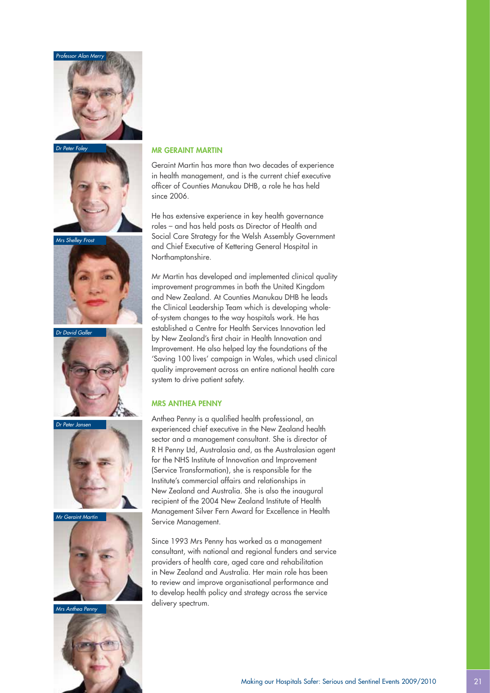

*Dr Peter Foley*





*Dr David Gall* 



Dr Peter Jans







#### Mr Geraint Martin

Geraint Martin has more than two decades of experience in health management, and is the current chief executive officer of Counties Manukau DHB, a role he has held since 2006

He has extensive experience in key health governance roles – and has held posts as Director of Health and Social Care Strategy for the Welsh Assembly Government and Chief Executive of Kettering General Hospital in Northamptonshire.

Mr Martin has developed and implemented clinical quality improvement programmes in both the United Kingdom and New Zealand. At Counties Manukau DHB he leads the Clinical Leadership Team which is developing wholeof-system changes to the way hospitals work. He has established a Centre for Health Services Innovation led by New Zealand's first chair in Health Innovation and Improvement. He also helped lay the foundations of the 'Saving 100 lives' campaign in Wales, which used clinical quality improvement across an entire national health care system to drive patient safety.

#### Mrs Anthea Penny

Anthea Penny is a qualified health professional, an experienced chief executive in the New Zealand health sector and a management consultant. She is director of R H Penny Ltd, Australasia and, as the Australasian agent for the NHS Institute of Innovation and Improvement (Service Transformation), she is responsible for the Institute's commercial affairs and relationships in New Zealand and Australia. She is also the inaugural recipient of the 2004 New Zealand Institute of Health Management Silver Fern Award for Excellence in Health Service Management.

Since 1993 Mrs Penny has worked as a management consultant, with national and regional funders and service providers of health care, aged care and rehabilitation in New Zealand and Australia. Her main role has been to review and improve organisational performance and to develop health policy and strategy across the service delivery spectrum.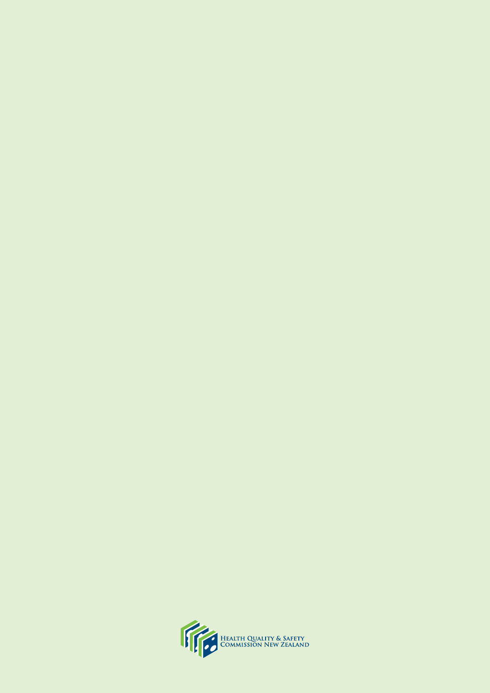